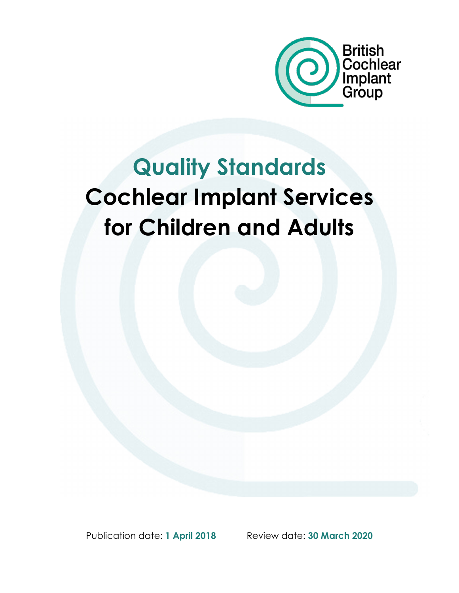

# Quality Standards Cochlear Implant Services for Children and Adults

Publication date: 1 April 2018 Review date: 30 March 2020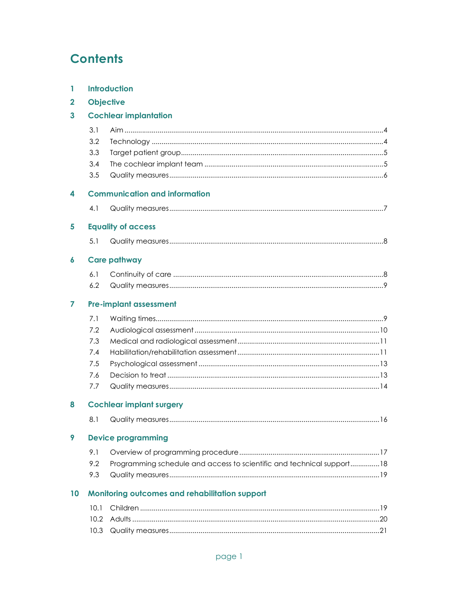# **Contents**

| 1            | <b>Introduction</b>             |                                                                       |  |
|--------------|---------------------------------|-----------------------------------------------------------------------|--|
| $\mathbf{2}$ | <b>Objective</b>                |                                                                       |  |
| 3            | <b>Cochlear implantation</b>    |                                                                       |  |
|              | 3.1<br>3.2<br>3.3<br>3.4<br>3.5 |                                                                       |  |
| 4            |                                 | <b>Communication and information</b>                                  |  |
|              | 4.1                             |                                                                       |  |
| 5            |                                 | <b>Equality of access</b>                                             |  |
|              | 5.1                             |                                                                       |  |
| 6            |                                 | <b>Care pathway</b>                                                   |  |
|              | 6.1                             |                                                                       |  |
|              | 6.2                             |                                                                       |  |
| 7            |                                 | <b>Pre-implant assessment</b>                                         |  |
|              | 7.1                             |                                                                       |  |
|              | 7.2                             |                                                                       |  |
|              | 7.3                             |                                                                       |  |
|              | 7.4                             |                                                                       |  |
|              | 7.5                             |                                                                       |  |
|              | 7.6                             |                                                                       |  |
|              | 7.7                             |                                                                       |  |
| 8            |                                 | <b>Cochlear implant surgery</b>                                       |  |
|              | 8.1                             |                                                                       |  |
| 9            |                                 | <b>Device programming</b>                                             |  |
|              | 9.1                             |                                                                       |  |
|              | 9.2                             | Programming schedule and access to scientific and technical support18 |  |
|              | 9.3                             |                                                                       |  |
| 10           |                                 | Monitoring outcomes and rehabilitation support                        |  |
|              | 10.1                            |                                                                       |  |
|              | 10.2                            |                                                                       |  |
|              | 10.3                            |                                                                       |  |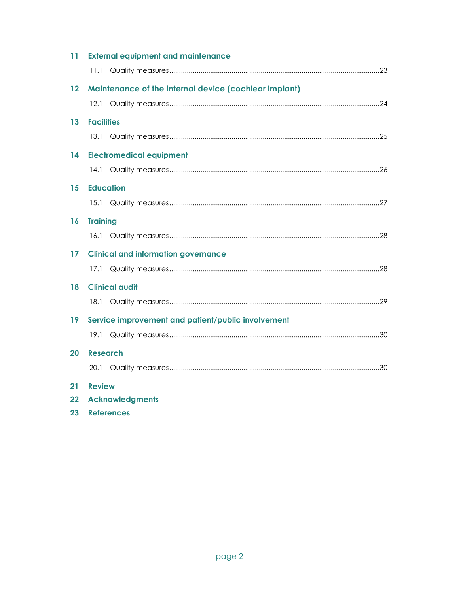| 11 | <b>External equipment and maintenance</b>             |
|----|-------------------------------------------------------|
|    | 11.1                                                  |
| 12 | Maintenance of the internal device (cochlear implant) |
|    | 12.1                                                  |
| 13 | <b>Facilities</b>                                     |
|    |                                                       |
| 14 | <b>Electromedical equipment</b>                       |
|    | 14.1                                                  |
| 15 | <b>Education</b>                                      |
|    |                                                       |
| 16 | <b>Training</b>                                       |
|    |                                                       |
| 17 | <b>Clinical and information governance</b>            |
|    |                                                       |
| 18 | <b>Clinical audit</b>                                 |
|    |                                                       |
| 19 | Service improvement and patient/public involvement    |
|    |                                                       |
| 20 | <b>Research</b>                                       |
|    |                                                       |
| 21 | <b>Review</b>                                         |
| 22 | <b>Acknowledgments</b>                                |

23 References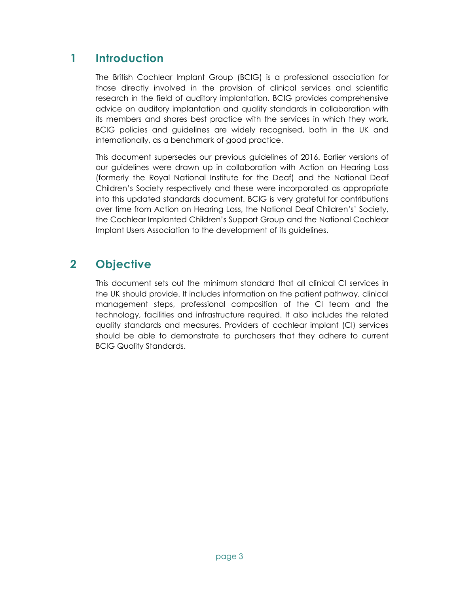# 1 Introduction

The British Cochlear Implant Group (BCIG) is a professional association for those directly involved in the provision of clinical services and scientific research in the field of auditory implantation. BCIG provides comprehensive advice on auditory implantation and quality standards in collaboration with its members and shares best practice with the services in which they work. BCIG policies and guidelines are widely recognised, both in the UK and internationally, as a benchmark of good practice.

This document supersedes our previous guidelines of 2016. Earlier versions of our guidelines were drawn up in collaboration with Action on Hearing Loss (formerly the Royal National Institute for the Deaf) and the National Deaf Children's Society respectively and these were incorporated as appropriate into this updated standards document. BCIG is very grateful for contributions over time from Action on Hearing Loss, the National Deaf Children's' Society, the Cochlear Implanted Children's Support Group and the National Cochlear Implant Users Association to the development of its guidelines.

# 2 Objective

This document sets out the minimum standard that all clinical CI services in the UK should provide. It includes information on the patient pathway, clinical management steps, professional composition of the CI team and the technology, facilities and infrastructure required. It also includes the related quality standards and measures. Providers of cochlear implant (CI) services should be able to demonstrate to purchasers that they adhere to current BCIG Quality Standards.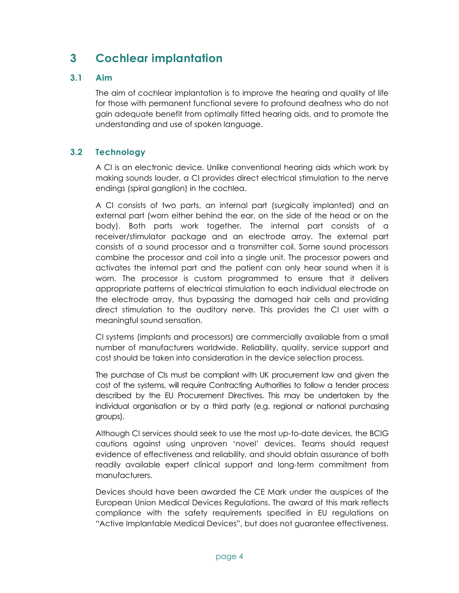# 3 Cochlear implantation

### 3.1 Aim

The aim of cochlear implantation is to improve the hearing and quality of life for those with permanent functional severe to profound deafness who do not gain adequate benefit from optimally fitted hearing aids, and to promote the understanding and use of spoken language.

### 3.2 Technology

A CI is an electronic device. Unlike conventional hearing aids which work by making sounds louder, a CI provides direct electrical stimulation to the nerve endings (spiral ganglion) in the cochlea.

A CI consists of two parts, an internal part (surgically implanted) and an external part (worn either behind the ear, on the side of the head or on the body). Both parts work together. The internal part consists of a receiver/stimulator package and an electrode array. The external part consists of a sound processor and a transmitter coil. Some sound processors combine the processor and coil into a single unit. The processor powers and activates the internal part and the patient can only hear sound when it is worn. The processor is custom programmed to ensure that it delivers appropriate patterns of electrical stimulation to each individual electrode on the electrode array, thus bypassing the damaged hair cells and providing direct stimulation to the auditory nerve. This provides the CI user with a meaningful sound sensation.

CI systems (implants and processors) are commercially available from a small number of manufacturers worldwide. Reliability, quality, service support and cost should be taken into consideration in the device selection process.

The purchase of CIs must be compliant with UK procurement law and given the cost of the systems, will require Contracting Authorities to follow a tender process described by the EU Procurement Directives. This may be undertaken by the individual organisation or by a third party (e.g. regional or national purchasing groups).

Although CI services should seek to use the most up-to-date devices, the BCIG cautions against using unproven 'novel' devices. Teams should request evidence of effectiveness and reliability, and should obtain assurance of both readily available expert clinical support and long-term commitment from manufacturers.

Devices should have been awarded the CE Mark under the auspices of the European Union Medical Devices Regulations. The award of this mark reflects compliance with the safety requirements specified in EU regulations on "Active Implantable Medical Devices", but does not guarantee effectiveness.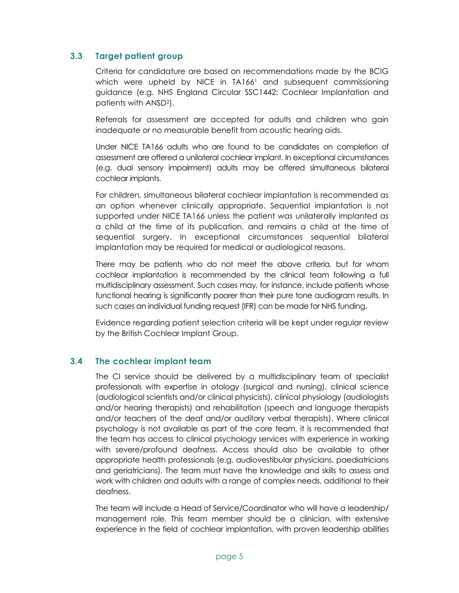### 3.3 Target patient group

Criteria for candidature are based on recommendations made by the BCIG which were upheld by NICE in TA166<sup>1</sup> and subsequent commissioning guidance (e.g. NHS England Circular SSC1442: Cochlear Implantation and patients with ANSD2).

Referrals for assessment are accepted for adults and children who gain inadequate or no measurable benefit from acoustic hearing aids.

Under NICE TA166 adults who are found to be candidates on completion of assessment are offered a unilateral cochlear implant. In exceptional circumstances (e.g. dual sensory impairment) adults may be offered simultaneous bilateral cochlear implants.

For children, simultaneous bilateral cochlear implantation is recommended as an option whenever clinically appropriate. Sequential implantation is not supported under NICE TA166 unless the patient was unilaterally implanted as a child at the time of its publication, and remains a child at the time of sequential surgery. In exceptional circumstances sequential bilateral implantation may be required for medical or audiological reasons.

There may be patients who do not meet the above criteria, but for whom cochlear implantation is recommended by the clinical team following a full multidisciplinary assessment. Such cases may, for instance, include patients whose functional hearing is significantly poorer than their pure tone audiogram results. In such cases an individual funding request (IFR) can be made for NHS funding.

Evidence regarding patient selection criteria will be kept under regular review by the British Cochlear Implant Group.

### 3.4 The cochlear implant team

The CI service should be delivered by a multidisciplinary team of specialist professionals with expertise in otology (surgical and nursing), clinical science (audiological scientists and/or clinical physicists), clinical physiology (audiologists and/or hearing therapists) and rehabilitation (speech and language therapists and/or teachers of the deaf and/or auditory verbal therapists). Where clinical psychology is not available as part of the core team, it is recommended that the team has access to clinical psychology services with experience in working with severe/profound deafness. Access should also be available to other appropriate health professionals (e.g. audiovestibular physicians, paediatricians and geriatricians). The team must have the knowledge and skills to assess and work with children and adults with a range of complex needs, additional to their deafness.

The team will include a Head of Service/Coordinator who will have a leadership/ management role. This team member should be a clinician, with extensive experience in the field of cochlear implantation, with proven leadership abilities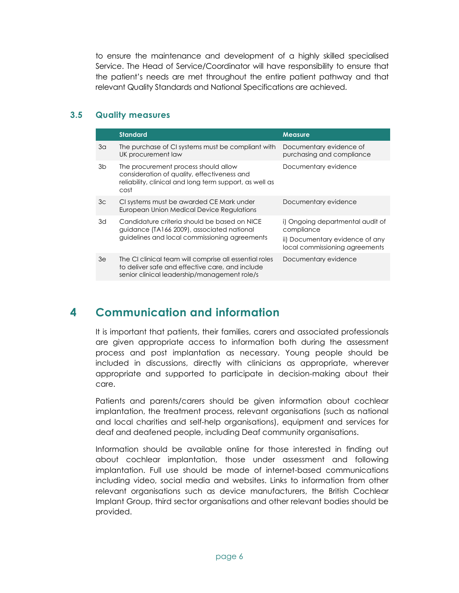to ensure the maintenance and development of a highly skilled specialised Service. The Head of Service/Coordinator will have responsibility to ensure that the patient's needs are met throughout the entire patient pathway and that relevant Quality Standards and National Specifications are achieved.

#### 3.5 Quality measures

|    | <b>Standard</b>                                                                                                                                           | <b>Measure</b>                                                                                                      |
|----|-----------------------------------------------------------------------------------------------------------------------------------------------------------|---------------------------------------------------------------------------------------------------------------------|
| 3a | The purchase of CI systems must be compliant with<br>UK procurement law                                                                                   | Documentary evidence of<br>purchasing and compliance                                                                |
| 3b | The procurement process should allow<br>consideration of quality, effectiveness and<br>reliability, clinical and long term support, as well as<br>cost    | Documentary evidence                                                                                                |
| Зc | CI systems must be awarded CE Mark under<br><b>European Union Medical Device Regulations</b>                                                              | Documentary evidence                                                                                                |
| 3d | Candidature criteria should be based on NICE<br>quidance (TA166 2009), associated national<br>guidelines and local commissioning agreements               | i) Ongoing departmental audit of<br>compliance<br>ii) Documentary evidence of any<br>local commissioning agreements |
| 3e | The CI clinical team will comprise all essential roles<br>to deliver safe and effective care, and include<br>senior clinical leadership/management role/s | Documentary evidence                                                                                                |

# 4 Communication and information

It is important that patients, their families, carers and associated professionals are given appropriate access to information both during the assessment process and post implantation as necessary. Young people should be included in discussions, directly with clinicians as appropriate, wherever appropriate and supported to participate in decision-making about their care.

Patients and parents/carers should be given information about cochlear implantation, the treatment process, relevant organisations (such as national and local charities and self-help organisations), equipment and services for deaf and deafened people, including Deaf community organisations.

Information should be available online for those interested in finding out about cochlear implantation, those under assessment and following implantation. Full use should be made of internet-based communications including video, social media and websites. Links to information from other relevant organisations such as device manufacturers, the British Cochlear Implant Group, third sector organisations and other relevant bodies should be provided.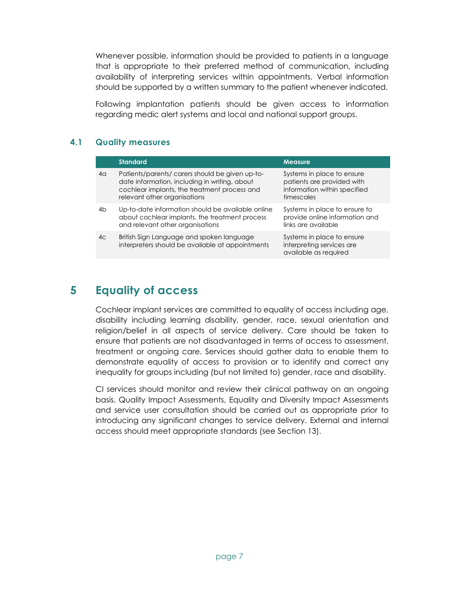Whenever possible, information should be provided to patients in a language that is appropriate to their preferred method of communication, including availability of interpreting services within appointments. Verbal information should be supported by a written summary to the patient whenever indicated.

Following implantation patients should be given access to information regarding medic alert systems and local and national support groups.

### 4.1 Quality measures

|    | <b>Standard</b>                                                                                                                                                                 | <b>Measure</b>                                                                                         |
|----|---------------------------------------------------------------------------------------------------------------------------------------------------------------------------------|--------------------------------------------------------------------------------------------------------|
| 4α | Patients/parents/carers should be given up-to-<br>date information, including in writing, about<br>cochlear implants, the treatment process and<br>relevant other organisations | Systems in place to ensure<br>patients are provided with<br>information within specified<br>timescales |
| 4b | Up-to-date information should be available online<br>about cochlear implants, the treatment process<br>and relevant other organisations                                         | Systems in place to ensure to<br>provide online information and<br>links are available                 |
| 4c | British Sign Language and spoken language<br>interpreters should be available at appointments                                                                                   | Systems in place to ensure<br>interpreting services are<br>available as required                       |

### 5 Equality of access

Cochlear implant services are committed to equality of access including age, disability including learning disability, gender, race, sexual orientation and religion/belief in all aspects of service delivery. Care should be taken to ensure that patients are not disadvantaged in terms of access to assessment, treatment or ongoing care. Services should gather data to enable them to demonstrate equality of access to provision or to identify and correct any inequality for groups including (but not limited to) gender, race and disability.

CI services should monitor and review their clinical pathway on an ongoing basis. Quality Impact Assessments, Equality and Diversity Impact Assessments and service user consultation should be carried out as appropriate prior to introducing any significant changes to service delivery. External and internal access should meet appropriate standards (see Section 13).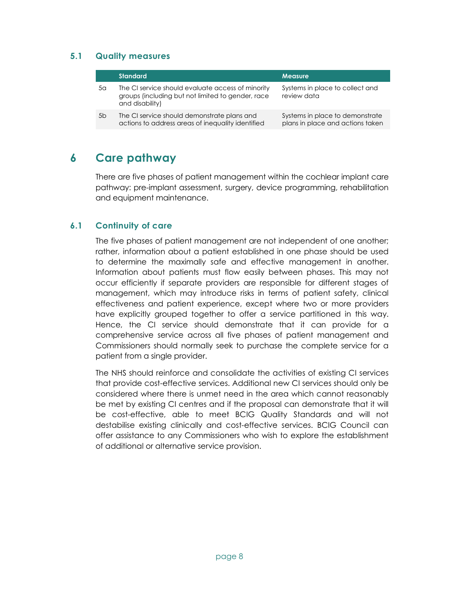### 5.1 Quality measures

|                | <b>Standard</b>                                                                                                           | <b>Measure</b>                                                      |
|----------------|---------------------------------------------------------------------------------------------------------------------------|---------------------------------------------------------------------|
| 5a             | The CI service should evaluate access of minority<br>groups (including but not limited to gender, race<br>and disability) | Systems in place to collect and<br>review data                      |
| 5 <sub>b</sub> | The CI service should demonstrate plans and<br>actions to address areas of inequality identified                          | Systems in place to demonstrate<br>plans in place and actions taken |

### 6 Care pathway

There are five phases of patient management within the cochlear implant care pathway: pre-implant assessment, surgery, device programming, rehabilitation and equipment maintenance.

#### 6.1 Continuity of care

The five phases of patient management are not independent of one another; rather, information about a patient established in one phase should be used to determine the maximally safe and effective management in another. Information about patients must flow easily between phases. This may not occur efficiently if separate providers are responsible for different stages of management, which may introduce risks in terms of patient safety, clinical effectiveness and patient experience, except where two or more providers have explicitly grouped together to offer a service partitioned in this way. Hence, the CI service should demonstrate that it can provide for a comprehensive service across all five phases of patient management and Commissioners should normally seek to purchase the complete service for a patient from a single provider.

The NHS should reinforce and consolidate the activities of existing CI services that provide cost-effective services. Additional new CI services should only be considered where there is unmet need in the area which cannot reasonably be met by existing CI centres and if the proposal can demonstrate that it will be cost-effective, able to meet BCIG Quality Standards and will not destabilise existing clinically and cost-effective services. BCIG Council can offer assistance to any Commissioners who wish to explore the establishment of additional or alternative service provision.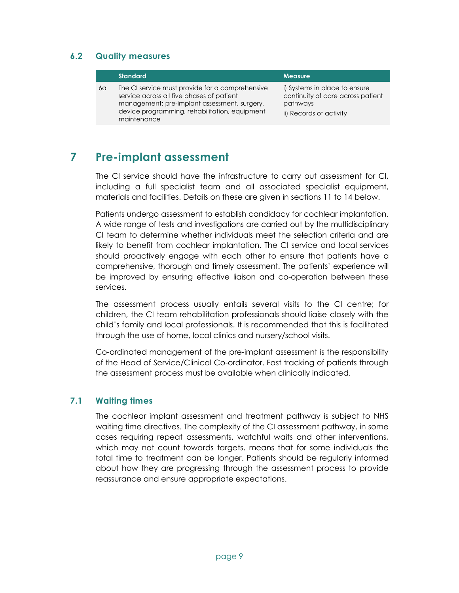#### 6.2 Quality measures

|    | <b>Standard</b>                                                                                                                                                                                              | <b>Measure</b>                                                                                            |
|----|--------------------------------------------------------------------------------------------------------------------------------------------------------------------------------------------------------------|-----------------------------------------------------------------------------------------------------------|
| 6a | The CI service must provide for a comprehensive<br>service across all five phases of patient<br>management: pre-implant assessment, surgery,<br>device programming, rehabilitation, equipment<br>maintenance | i) Systems in place to ensure<br>continuity of care across patient<br>pathways<br>ii) Records of activity |
|    |                                                                                                                                                                                                              |                                                                                                           |

### 7 Pre-implant assessment

The CI service should have the infrastructure to carry out assessment for CI, including a full specialist team and all associated specialist equipment, materials and facilities. Details on these are given in sections 11 to 14 below.

Patients undergo assessment to establish candidacy for cochlear implantation. A wide range of tests and investigations are carried out by the multidisciplinary CI team to determine whether individuals meet the selection criteria and are likely to benefit from cochlear implantation. The CI service and local services should proactively engage with each other to ensure that patients have a comprehensive, thorough and timely assessment. The patients' experience will be improved by ensuring effective liaison and co-operation between these services.

The assessment process usually entails several visits to the CI centre; for children, the CI team rehabilitation professionals should liaise closely with the child's family and local professionals. It is recommended that this is facilitated through the use of home, local clinics and nursery/school visits.

Co-ordinated management of the pre-implant assessment is the responsibility of the Head of Service/Clinical Co-ordinator. Fast tracking of patients through the assessment process must be available when clinically indicated.

#### 7.1 Waiting times

The cochlear implant assessment and treatment pathway is subject to NHS waiting time directives. The complexity of the CI assessment pathway, in some cases requiring repeat assessments, watchful waits and other interventions, which may not count towards targets, means that for some individuals the total time to treatment can be longer. Patients should be regularly informed about how they are progressing through the assessment process to provide reassurance and ensure appropriate expectations.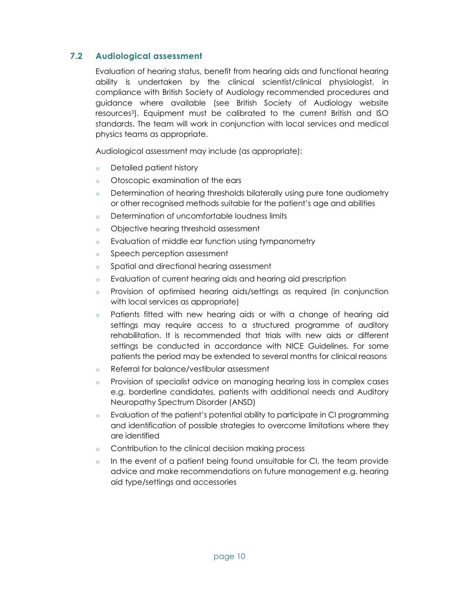### 7.2 Audiological assessment

Evaluation of hearing status, benefit from hearing aids and functional hearing ability is undertaken by the clinical scientist/clinical physiologist, in compliance with British Society of Audiology recommended procedures and guidance where available (see British Society of Audiology website resources3). Equipment must be calibrated to the current British and ISO standards. The team will work in conjunction with local services and medical physics teams as appropriate.

Audiological assessment may include (as appropriate):

- Detailed patient history
- Otoscopic examination of the ears
- Determination of hearing thresholds bilaterally using pure tone audiometry or other recognised methods suitable for the patient's age and abilities
- Determination of uncomfortable loudness limits
- Objective hearing threshold assessment
- Evaluation of middle ear function using tympanometry
- Speech perception assessment
- Spatial and directional hearing assessment
- Evaluation of current hearing aids and hearing aid prescription
- Provision of optimised hearing aids/settings as required (in conjunction with local services as appropriate)
- Patients fitted with new hearing aids or with a change of hearing aid settings may require access to a structured programme of auditory rehabilitation. It is recommended that trials with new aids or different settings be conducted in accordance with NICE Guidelines. For some patients the period may be extended to several months for clinical reasons
- Referral for balance/vestibular assessment
- **Provision of specialist advice on managing hearing loss in complex cases** e.g. borderline candidates, patients with additional needs and Auditory Neuropathy Spectrum Disorder (ANSD)
- Evaluation of the patient's potential ability to participate in CI programming and identification of possible strategies to overcome limitations where they are identified
- Contribution to the clinical decision making process
- In the event of a patient being found unsuitable for CI, the team provide advice and make recommendations on future management e.g. hearing aid type/settings and accessories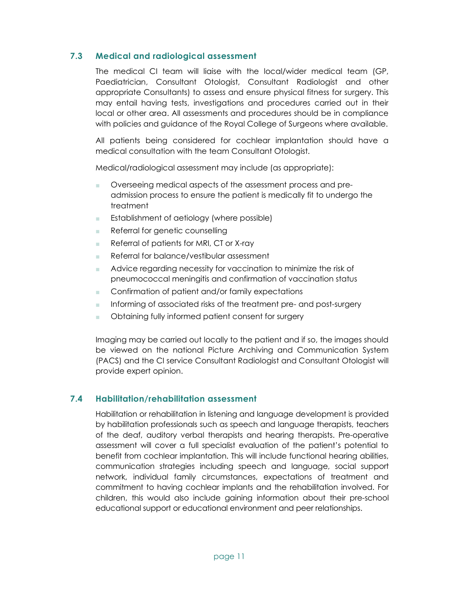### 7.3 Medical and radiological assessment

The medical CI team will liaise with the local/wider medical team (GP, Paediatrician, Consultant Otologist, Consultant Radiologist and other appropriate Consultants) to assess and ensure physical fitness for surgery. This may entail having tests, investigations and procedures carried out in their local or other area. All assessments and procedures should be in compliance with policies and guidance of the Royal College of Surgeons where available.

All patients being considered for cochlear implantation should have a medical consultation with the team Consultant Otologist.

Medical/radiological assessment may include (as appropriate):

- Overseeing medical aspects of the assessment process and preadmission process to ensure the patient is medically fit to undergo the treatment
- Establishment of aetiology (where possible)
- Referral for genetic counselling
- Referral of patients for MRI, CT or X-ray
- Referral for balance/vestibular assessment
- Advice regarding necessity for vaccination to minimize the risk of pneumococcal meningitis and confirmation of vaccination status
- Confirmation of patient and/or family expectations
- Informing of associated risks of the treatment pre- and post-surgery
- Obtaining fully informed patient consent for surgery

Imaging may be carried out locally to the patient and if so, the images should be viewed on the national Picture Archiving and Communication System (PACS) and the CI service Consultant Radiologist and Consultant Otologist will provide expert opinion.

### 7.4 Habilitation/rehabilitation assessment

Habilitation or rehabilitation in listening and language development is provided by habilitation professionals such as speech and language therapists, teachers of the deaf, auditory verbal therapists and hearing therapists. Pre-operative assessment will cover a full specialist evaluation of the patient's potential to benefit from cochlear implantation. This will include functional hearing abilities, communication strategies including speech and language, social support network, individual family circumstances, expectations of treatment and commitment to having cochlear implants and the rehabilitation involved. For children, this would also include gaining information about their pre-school educational support or educational environment and peer relationships.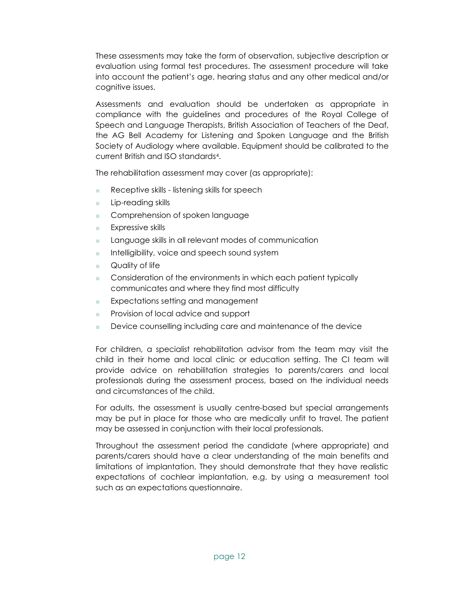These assessments may take the form of observation, subjective description or evaluation using formal test procedures. The assessment procedure will take into account the patient's age, hearing status and any other medical and/or cognitive issues.

Assessments and evaluation should be undertaken as appropriate in compliance with the guidelines and procedures of the Royal College of Speech and Language Therapists, British Association of Teachers of the Deaf, the AG Bell Academy for Listening and Spoken Language and the British Society of Audiology where available. Equipment should be calibrated to the current British and ISO standards<sup>4</sup> .

The rehabilitation assessment may cover (as appropriate):

- Receptive skills listening skills for speech
- Lip-reading skills
- Comprehension of spoken language
- Expressive skills
- Language skills in all relevant modes of communication
- Intelligibility, voice and speech sound system
- Quality of life
- Consideration of the environments in which each patient typically communicates and where they find most difficulty
- Expectations setting and management
- Provision of local advice and support
- Device counselling including care and maintenance of the device

For children, a specialist rehabilitation advisor from the team may visit the child in their home and local clinic or education setting. The CI team will provide advice on rehabilitation strategies to parents/carers and local professionals during the assessment process, based on the individual needs and circumstances of the child.

For adults, the assessment is usually centre-based but special arrangements may be put in place for those who are medically unfit to travel. The patient may be assessed in conjunction with their local professionals.

Throughout the assessment period the candidate (where appropriate) and parents/carers should have a clear understanding of the main benefits and limitations of implantation. They should demonstrate that they have realistic expectations of cochlear implantation, e.g. by using a measurement tool such as an expectations questionnaire.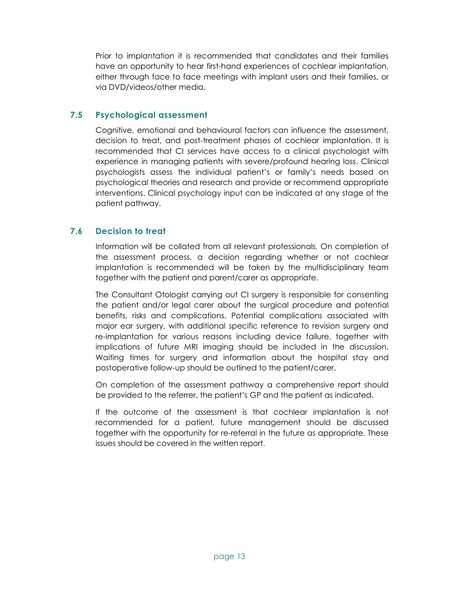Prior to implantation it is recommended that candidates and their families have an opportunity to hear first-hand experiences of cochlear implantation, either through face to face meetings with implant users and their families, or via DVD/videos/other media.

#### 7.5 Psychological assessment

Cognitive, emotional and behavioural factors can influence the assessment, decision to treat, and post-treatment phases of cochlear implantation. It is recommended that CI services have access to a clinical psychologist with experience in managing patients with severe/profound hearing loss. Clinical psychologists assess the individual patient's or family's needs based on psychological theories and research and provide or recommend appropriate interventions. Clinical psychology input can be indicated at any stage of the patient pathway.

### 7.6 Decision to treat

Information will be collated from all relevant professionals. On completion of the assessment process, a decision regarding whether or not cochlear implantation is recommended will be taken by the multidisciplinary team together with the patient and parent/carer as appropriate.

The Consultant Otologist carrying out CI surgery is responsible for consenting the patient and/or legal carer about the surgical procedure and potential benefits, risks and complications. Potential complications associated with major ear surgery, with additional specific reference to revision surgery and re-implantation for various reasons including device failure, together with implications of future MRI imaging should be included in the discussion. Waiting times for surgery and information about the hospital stay and postoperative follow-up should be outlined to the patient/carer.

On completion of the assessment pathway a comprehensive report should be provided to the referrer, the patient's GP and the patient as indicated.

If the outcome of the assessment is that cochlear implantation is not recommended for a patient, future management should be discussed together with the opportunity for re-referral in the future as appropriate. These issues should be covered in the written report.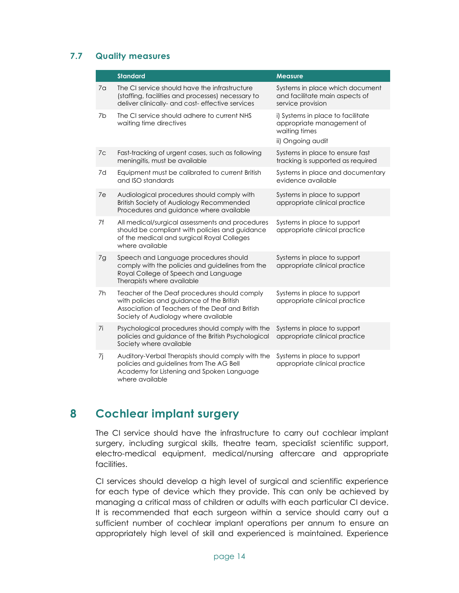### 7.7 Quality measures

|                | <b>Standard</b>                                                                                                                                                                      | <b>Measure</b>                                                                                       |
|----------------|--------------------------------------------------------------------------------------------------------------------------------------------------------------------------------------|------------------------------------------------------------------------------------------------------|
| 7 <sub>a</sub> | The CI service should have the infrastructure<br>(staffing, facilities and processes) necessary to<br>deliver clinically- and cost- effective services                               | Systems in place which document<br>and facilitate main aspects of<br>service provision               |
| 7b             | The CI service should adhere to current NHS<br>waiting time directives                                                                                                               | i) Systems in place to facilitate<br>appropriate management of<br>waiting times<br>ii) Ongoing audit |
| 7c             | Fast-tracking of urgent cases, such as following<br>meningitis, must be available                                                                                                    | Systems in place to ensure fast<br>tracking is supported as required                                 |
| 7d             | Equipment must be calibrated to current British<br>and ISO standards                                                                                                                 | Systems in place and documentary<br>evidence available                                               |
| 7e             | Audiological procedures should comply with<br><b>British Society of Audiology Recommended</b><br>Procedures and guidance where available                                             | Systems in place to support<br>appropriate clinical practice                                         |
| 7f             | All medical/surgical assessments and procedures<br>should be compliant with policies and guidance<br>of the medical and surgical Royal Colleges<br>where available                   | Systems in place to support<br>appropriate clinical practice                                         |
| 7g             | Speech and Language procedures should<br>comply with the policies and guidelines from the<br>Royal College of Speech and Language<br>Therapists where available                      | Systems in place to support<br>appropriate clinical practice                                         |
| 7h             | Teacher of the Deaf procedures should comply<br>with policies and guidance of the British<br>Association of Teachers of the Deaf and British<br>Society of Audiology where available | Systems in place to support<br>appropriate clinical practice                                         |
| 7i             | Psychological procedures should comply with the<br>policies and guidance of the British Psychological<br>Society where available                                                     | Systems in place to support<br>appropriate clinical practice                                         |
| 7j             | Auditory-Verbal Therapists should comply with the<br>policies and guidelines from The AG Bell<br>Academy for Listening and Spoken Language<br>where available                        | Systems in place to support<br>appropriate clinical practice                                         |

### 8 Cochlear implant surgery

The CI service should have the infrastructure to carry out cochlear implant surgery, including surgical skills, theatre team, specialist scientific support, electro-medical equipment, medical/nursing aftercare and appropriate facilities.

CI services should develop a high level of surgical and scientific experience for each type of device which they provide. This can only be achieved by managing a critical mass of children or adults with each particular CI device. It is recommended that each surgeon within a service should carry out a sufficient number of cochlear implant operations per annum to ensure an appropriately high level of skill and experienced is maintained. Experience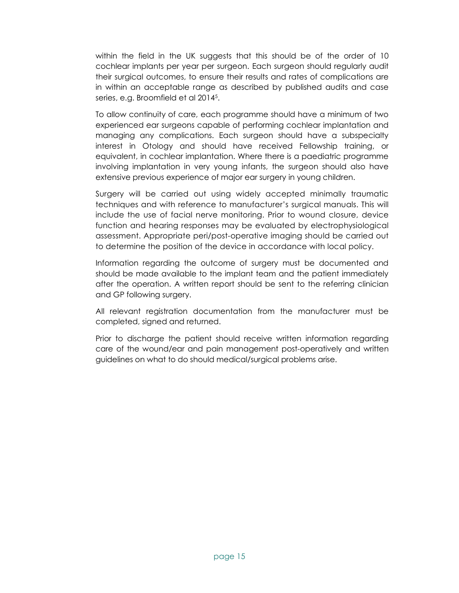within the field in the UK suggests that this should be of the order of 10 cochlear implants per year per surgeon. Each surgeon should regularly audit their surgical outcomes, to ensure their results and rates of complications are in within an acceptable range as described by published audits and case series, e.g. Broomfield et al 2014<sup>5</sup> .

To allow continuity of care, each programme should have a minimum of two experienced ear surgeons capable of performing cochlear implantation and managing any complications. Each surgeon should have a subspecialty interest in Otology and should have received Fellowship training, or equivalent, in cochlear implantation. Where there is a paediatric programme involving implantation in very young infants, the surgeon should also have extensive previous experience of major ear surgery in young children.

Surgery will be carried out using widely accepted minimally traumatic techniques and with reference to manufacturer's surgical manuals. This will include the use of facial nerve monitoring. Prior to wound closure, device function and hearing responses may be evaluated by electrophysiological assessment. Appropriate peri/post-operative imaging should be carried out to determine the position of the device in accordance with local policy.

Information regarding the outcome of surgery must be documented and should be made available to the implant team and the patient immediately after the operation. A written report should be sent to the referring clinician and GP following surgery.

All relevant registration documentation from the manufacturer must be completed, signed and returned.

Prior to discharge the patient should receive written information regarding care of the wound/ear and pain management post-operatively and written guidelines on what to do should medical/surgical problems arise.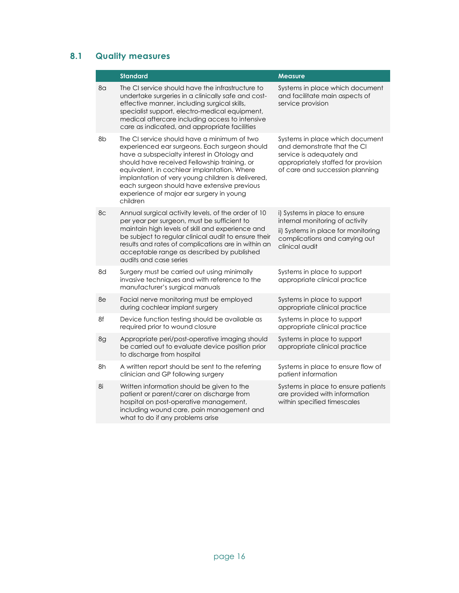|    | <b>Standard</b>                                                                                                                                                                                                                                                                                                                                                                                        | <b>Measure</b>                                                                                                                                                        |
|----|--------------------------------------------------------------------------------------------------------------------------------------------------------------------------------------------------------------------------------------------------------------------------------------------------------------------------------------------------------------------------------------------------------|-----------------------------------------------------------------------------------------------------------------------------------------------------------------------|
| 8a | The CI service should have the infrastructure to<br>undertake surgeries in a clinically safe and cost-<br>effective manner, including surgical skills,<br>specialist support, electro-medical equipment,<br>medical aftercare including access to intensive<br>care as indicated, and appropriate facilities                                                                                           | Systems in place which document<br>and facilitate main aspects of<br>service provision                                                                                |
| 8b | The CI service should have a minimum of two<br>experienced ear surgeons. Each surgeon should<br>have a subspecialty interest in Otology and<br>should have received Fellowship training, or<br>equivalent, in cochlear implantation. Where<br>implantation of very young children is delivered,<br>each surgeon should have extensive previous<br>experience of major ear surgery in young<br>children | Systems in place which document<br>and demonstrate that the CI<br>service is adequately and<br>appropriately staffed for provision<br>of care and succession planning |
| 8c | Annual surgical activity levels, of the order of 10<br>per year per surgeon, must be sufficient to<br>maintain high levels of skill and experience and<br>be subject to regular clinical audit to ensure their<br>results and rates of complications are in within an<br>acceptable range as described by published<br>audits and case series                                                          | i) Systems in place to ensure<br>internal monitoring of activity<br>ii) Systems in place for monitoring<br>complications and carrying out<br>clinical audit           |
| 8d | Surgery must be carried out using minimally<br>invasive techniques and with reference to the<br>manufacturer's surgical manuals                                                                                                                                                                                                                                                                        | Systems in place to support<br>appropriate clinical practice                                                                                                          |
| 8e | Facial nerve monitoring must be employed<br>during cochlear implant surgery                                                                                                                                                                                                                                                                                                                            | Systems in place to support<br>appropriate clinical practice                                                                                                          |
| 8f | Device function testing should be available as<br>required prior to wound closure                                                                                                                                                                                                                                                                                                                      | Systems in place to support<br>appropriate clinical practice                                                                                                          |
| 8g | Appropriate peri/post-operative imaging should<br>be carried out to evaluate device position prior<br>to discharge from hospital                                                                                                                                                                                                                                                                       | Systems in place to support<br>appropriate clinical practice                                                                                                          |
| 8h | A written report should be sent to the referring<br>clinician and GP following surgery                                                                                                                                                                                                                                                                                                                 | Systems in place to ensure flow of<br>patient information                                                                                                             |
| 8i | Written information should be given to the<br>patient or parent/carer on discharge from<br>hospital on post-operative management,<br>including wound care, pain management and<br>what to do if any problems arise                                                                                                                                                                                     | Systems in place to ensure patients<br>are provided with information<br>within specified timescales                                                                   |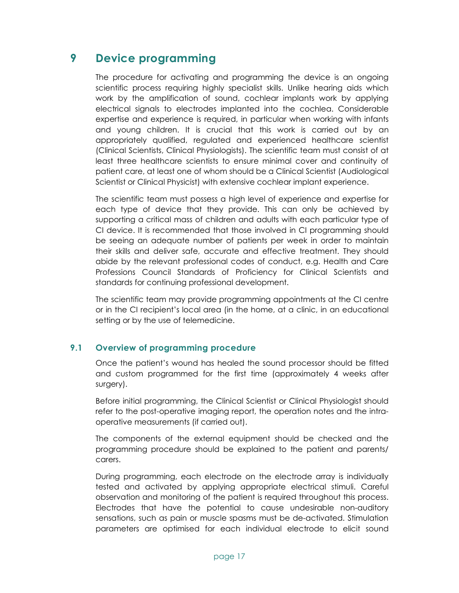### 9 Device programming

The procedure for activating and programming the device is an ongoing scientific process requiring highly specialist skills. Unlike hearing aids which work by the amplification of sound, cochlear implants work by applying electrical signals to electrodes implanted into the cochlea. Considerable expertise and experience is required, in particular when working with infants and young children. It is crucial that this work is carried out by an appropriately qualified, regulated and experienced healthcare scientist (Clinical Scientists, Clinical Physiologists). The scientific team must consist of at least three healthcare scientists to ensure minimal cover and continuity of patient care, at least one of whom should be a Clinical Scientist (Audiological Scientist or Clinical Physicist) with extensive cochlear implant experience.

The scientific team must possess a high level of experience and expertise for each type of device that they provide. This can only be achieved by supporting a critical mass of children and adults with each particular type of CI device. It is recommended that those involved in CI programming should be seeing an adequate number of patients per week in order to maintain their skills and deliver safe, accurate and effective treatment. They should abide by the relevant professional codes of conduct, e.g. Health and Care Professions Council Standards of Proficiency for Clinical Scientists and standards for continuing professional development.

The scientific team may provide programming appointments at the CI centre or in the CI recipient's local area (in the home, at a clinic, in an educational setting or by the use of telemedicine.

### 9.1 Overview of programming procedure

Once the patient's wound has healed the sound processor should be fitted and custom programmed for the first time (approximately 4 weeks after surgery).

Before initial programming, the Clinical Scientist or Clinical Physiologist should refer to the post-operative imaging report, the operation notes and the intraoperative measurements (if carried out).

The components of the external equipment should be checked and the programming procedure should be explained to the patient and parents/ carers.

During programming, each electrode on the electrode array is individually tested and activated by applying appropriate electrical stimuli. Careful observation and monitoring of the patient is required throughout this process. Electrodes that have the potential to cause undesirable non-auditory sensations, such as pain or muscle spasms must be de-activated. Stimulation parameters are optimised for each individual electrode to elicit sound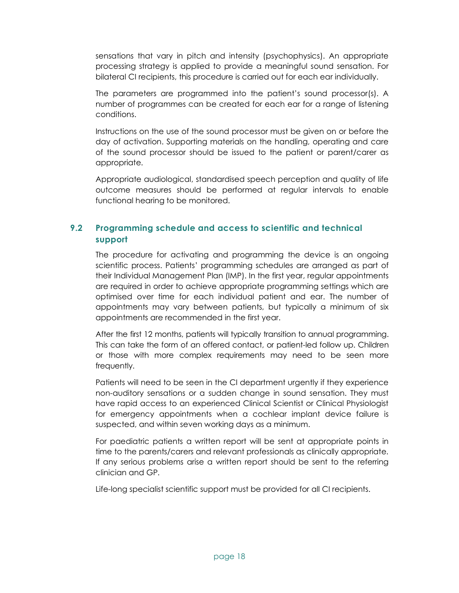sensations that vary in pitch and intensity (psychophysics). An appropriate processing strategy is applied to provide a meaningful sound sensation. For bilateral CI recipients, this procedure is carried out for each ear individually.

The parameters are programmed into the patient's sound processor(s). A number of programmes can be created for each ear for a range of listening conditions.

Instructions on the use of the sound processor must be given on or before the day of activation. Supporting materials on the handling, operating and care of the sound processor should be issued to the patient or parent/carer as appropriate.

Appropriate audiological, standardised speech perception and quality of life outcome measures should be performed at regular intervals to enable functional hearing to be monitored.

### 9.2 Programming schedule and access to scientific and technical support

The procedure for activating and programming the device is an ongoing scientific process. Patients' programming schedules are arranged as part of their Individual Management Plan (IMP). In the first year, regular appointments are required in order to achieve appropriate programming settings which are optimised over time for each individual patient and ear. The number of appointments may vary between patients, but typically a minimum of six appointments are recommended in the first year.

After the first 12 months, patients will typically transition to annual programming. This can take the form of an offered contact, or patient-led follow up. Children or those with more complex requirements may need to be seen more frequently.

Patients will need to be seen in the CI department urgently if they experience non-auditory sensations or a sudden change in sound sensation. They must have rapid access to an experienced Clinical Scientist or Clinical Physiologist for emergency appointments when a cochlear implant device failure is suspected, and within seven working days as a minimum.

For paediatric patients a written report will be sent at appropriate points in time to the parents/carers and relevant professionals as clinically appropriate. If any serious problems arise a written report should be sent to the referring clinician and GP.

Life-long specialist scientific support must be provided for all CI recipients.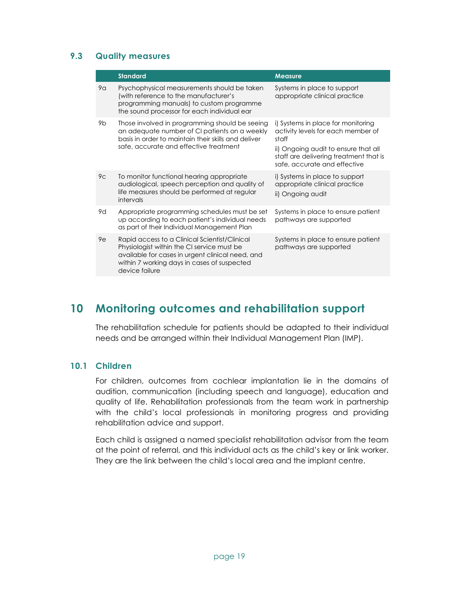### 9.3 Quality measures

|                | <b>Standard</b>                                                                                                                                                                                                  | <b>Measure</b>                                                                                                                                                                                      |
|----------------|------------------------------------------------------------------------------------------------------------------------------------------------------------------------------------------------------------------|-----------------------------------------------------------------------------------------------------------------------------------------------------------------------------------------------------|
| 9a             | Psychophysical measurements should be taken<br>(with reference to the manufacturer's<br>programming manuals) to custom programme<br>the sound processor for each individual ear                                  | Systems in place to support<br>appropriate clinical practice                                                                                                                                        |
| 9b             | Those involved in programming should be seeing<br>an adequate number of CI patients on a weekly<br>basis in order to maintain their skills and deliver<br>safe, accurate and effective treatment                 | i) Systems in place for monitoring<br>activity levels for each member of<br>staff<br>ii) Ongoing audit to ensure that all<br>staff are delivering treatment that is<br>safe, accurate and effective |
| 9 <sup>C</sup> | To monitor functional hearing appropriate<br>audiological, speech perception and quality of<br>life measures should be performed at regular<br>intervals                                                         | i) Systems in place to support<br>appropriate clinical practice<br>ii) Ongoing audit                                                                                                                |
| 9d             | Appropriate programming schedules must be set<br>up according to each patient's individual needs<br>as part of their Individual Management Plan                                                                  | Systems in place to ensure patient<br>pathways are supported                                                                                                                                        |
| 9e             | Rapid access to a Clinical Scientist/Clinical<br>Physiologist within the CI service must be<br>available for cases in urgent clinical need, and<br>within 7 working days in cases of suspected<br>device failure | Systems in place to ensure patient<br>pathways are supported                                                                                                                                        |

### 10 Monitoring outcomes and rehabilitation support

The rehabilitation schedule for patients should be adapted to their individual needs and be arranged within their Individual Management Plan (IMP).

#### 10.1 Children

For children, outcomes from cochlear implantation lie in the domains of audition, communication (including speech and language), education and quality of life. Rehabilitation professionals from the team work in partnership with the child's local professionals in monitoring progress and providing rehabilitation advice and support.

Each child is assigned a named specialist rehabilitation advisor from the team at the point of referral, and this individual acts as the child's key or link worker. They are the link between the child's local area and the implant centre.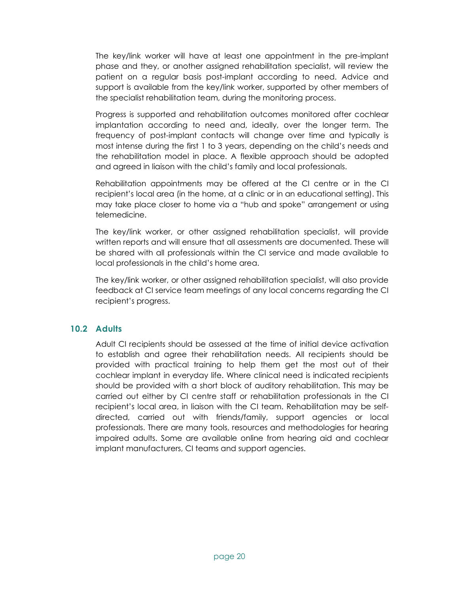The key/link worker will have at least one appointment in the pre-implant phase and they, or another assigned rehabilitation specialist, will review the patient on a regular basis post-implant according to need. Advice and support is available from the key/link worker, supported by other members of the specialist rehabilitation team, during the monitoring process.

Progress is supported and rehabilitation outcomes monitored after cochlear implantation according to need and, ideally, over the longer term. The frequency of post-implant contacts will change over time and typically is most intense during the first 1 to 3 years, depending on the child's needs and the rehabilitation model in place. A flexible approach should be adopted and agreed in liaison with the child's family and local professionals.

Rehabilitation appointments may be offered at the CI centre or in the CI recipient's local area (in the home, at a clinic or in an educational setting). This may take place closer to home via a "hub and spoke" arrangement or using telemedicine.

The key/link worker, or other assigned rehabilitation specialist, will provide written reports and will ensure that all assessments are documented. These will be shared with all professionals within the CI service and made available to local professionals in the child's home area.

The key/link worker, or other assigned rehabilitation specialist, will also provide feedback at CI service team meetings of any local concerns regarding the CI recipient's progress.

#### 10.2 Adults

Adult CI recipients should be assessed at the time of initial device activation to establish and agree their rehabilitation needs. All recipients should be provided with practical training to help them get the most out of their cochlear implant in everyday life. Where clinical need is indicated recipients should be provided with a short block of auditory rehabilitation. This may be carried out either by CI centre staff or rehabilitation professionals in the CI recipient's local area, in liaison with the CI team. Rehabilitation may be selfdirected, carried out with friends/family, support agencies or local professionals. There are many tools, resources and methodologies for hearing impaired adults. Some are available online from hearing aid and cochlear implant manufacturers, CI teams and support agencies.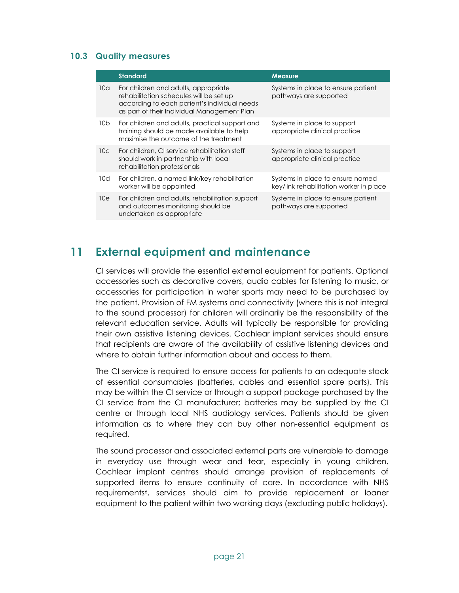#### 10.3 Quality measures

|                 | <b>Standard</b>                                                                                                                                                                | <b>Measure</b>                                                              |
|-----------------|--------------------------------------------------------------------------------------------------------------------------------------------------------------------------------|-----------------------------------------------------------------------------|
| 10 <sub>a</sub> | For children and adults, appropriate<br>rehabilitation schedules will be set up<br>according to each patient's individual needs<br>as part of their Individual Management Plan | Systems in place to ensure patient<br>pathways are supported                |
| 10 <sub>b</sub> | For children and adults, practical support and<br>training should be made available to help<br>maximise the outcome of the treatment                                           | Systems in place to support<br>appropriate clinical practice                |
| 10c             | For children, CI service rehabilitation staff<br>should work in partnership with local<br>rehabilitation professionals                                                         | Systems in place to support<br>appropriate clinical practice                |
| 10d             | For children, a named link/key rehabilitation<br>worker will be appointed                                                                                                      | Systems in place to ensure named<br>key/link rehabilitation worker in place |
| 10e             | For children and adults, rehabilitation support<br>and outcomes monitoring should be<br>undertaken as appropriate                                                              | Systems in place to ensure patient<br>pathways are supported                |

### 11 External equipment and maintenance

CI services will provide the essential external equipment for patients. Optional accessories such as decorative covers, audio cables for listening to music, or accessories for participation in water sports may need to be purchased by the patient. Provision of FM systems and connectivity (where this is not integral to the sound processor) for children will ordinarily be the responsibility of the relevant education service. Adults will typically be responsible for providing their own assistive listening devices. Cochlear implant services should ensure that recipients are aware of the availability of assistive listening devices and where to obtain further information about and access to them.

The CI service is required to ensure access for patients to an adequate stock of essential consumables (batteries, cables and essential spare parts). This may be within the CI service or through a support package purchased by the CI service from the CI manufacturer; batteries may be supplied by the CI centre or through local NHS audiology services. Patients should be given information as to where they can buy other non-essential equipment as required.

The sound processor and associated external parts are vulnerable to damage in everyday use through wear and tear, especially in young children. Cochlear implant centres should arrange provision of replacements of supported items to ensure continuity of care. In accordance with NHS requirements<sup>6</sup>, services should aim to provide replacement or loaner equipment to the patient within two working days (excluding public holidays).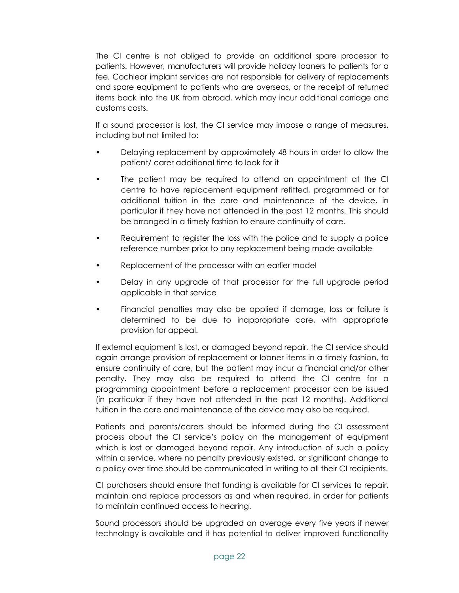The CI centre is not obliged to provide an additional spare processor to patients. However, manufacturers will provide holiday loaners to patients for a fee. Cochlear implant services are not responsible for delivery of replacements and spare equipment to patients who are overseas, or the receipt of returned items back into the UK from abroad, which may incur additional carriage and customs costs.

If a sound processor is lost, the CI service may impose a range of measures, including but not limited to:

- Delaying replacement by approximately 48 hours in order to allow the patient/ carer additional time to look for it
- The patient may be required to attend an appointment at the CI centre to have replacement equipment refitted, programmed or for additional tuition in the care and maintenance of the device, in particular if they have not attended in the past 12 months. This should be arranged in a timely fashion to ensure continuity of care.
- Requirement to register the loss with the police and to supply a police reference number prior to any replacement being made available
- Replacement of the processor with an earlier model
- Delay in any upgrade of that processor for the full upgrade period applicable in that service
- Financial penalties may also be applied if damage, loss or failure is determined to be due to inappropriate care, with appropriate provision for appeal.

If external equipment is lost, or damaged beyond repair, the CI service should again arrange provision of replacement or loaner items in a timely fashion, to ensure continuity of care, but the patient may incur a financial and/or other penalty. They may also be required to attend the CI centre for a programming appointment before a replacement processor can be issued (in particular if they have not attended in the past 12 months). Additional tuition in the care and maintenance of the device may also be required.

Patients and parents/carers should be informed during the CI assessment process about the CI service's policy on the management of equipment which is lost or damaged beyond repair. Any introduction of such a policy within a service, where no penalty previously existed, or significant change to a policy over time should be communicated in writing to all their CI recipients.

CI purchasers should ensure that funding is available for CI services to repair, maintain and replace processors as and when required, in order for patients to maintain continued access to hearing.

Sound processors should be upgraded on average every five years if newer technology is available and it has potential to deliver improved functionality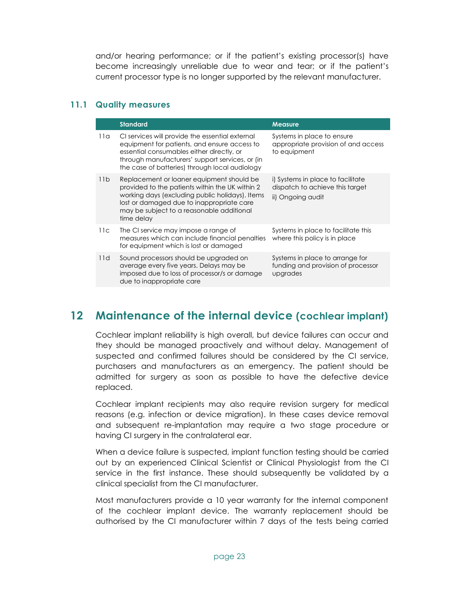and/or hearing performance; or if the patient's existing processor(s) have become increasingly unreliable due to wear and tear; or if the patient's current processor type is no longer supported by the relevant manufacturer.

#### 11.1 Quality measures

|     | <b>Standard</b>                                                                                                                                                                                                                                         | <b>Measure</b>                                                                            |
|-----|---------------------------------------------------------------------------------------------------------------------------------------------------------------------------------------------------------------------------------------------------------|-------------------------------------------------------------------------------------------|
| 11a | CI services will provide the essential external<br>equipment for patients, and ensure access to<br>essential consumables either directly, or<br>through manufacturers' support services, or (in<br>the case of batteries) through local audiology       | Systems in place to ensure<br>appropriate provision of and access<br>to equipment         |
| 11b | Replacement or loaner equipment should be<br>provided to the patients within the UK within 2<br>working days (excluding public holidays). Items<br>lost or damaged due to inappropriate care<br>may be subject to a reasonable additional<br>time delay | i) Systems in place to facilitate<br>dispatch to achieve this target<br>ii) Ongoing audit |
| 11c | The CI service may impose a range of<br>measures which can include financial penalties<br>for equipment which is lost or damaged                                                                                                                        | Systems in place to facilitate this<br>where this policy is in place                      |
| 11d | Sound processors should be upgraded on<br>average every five years. Delays may be<br>imposed due to loss of processor/s or damage<br>due to inappropriate care                                                                                          | Systems in place to arrange for<br>funding and provision of processor<br>upgrades         |

### 12 Maintenance of the internal device (cochlear implant)

Cochlear implant reliability is high overall, but device failures can occur and they should be managed proactively and without delay. Management of suspected and confirmed failures should be considered by the CI service, purchasers and manufacturers as an emergency. The patient should be admitted for surgery as soon as possible to have the defective device replaced.

Cochlear implant recipients may also require revision surgery for medical reasons (e.g. infection or device migration). In these cases device removal and subsequent re-implantation may require a two stage procedure or having CI surgery in the contralateral ear.

When a device failure is suspected, implant function testing should be carried out by an experienced Clinical Scientist or Clinical Physiologist from the CI service in the first instance. These should subsequently be validated by a clinical specialist from the CI manufacturer.

Most manufacturers provide a 10 year warranty for the internal component of the cochlear implant device. The warranty replacement should be authorised by the CI manufacturer within 7 days of the tests being carried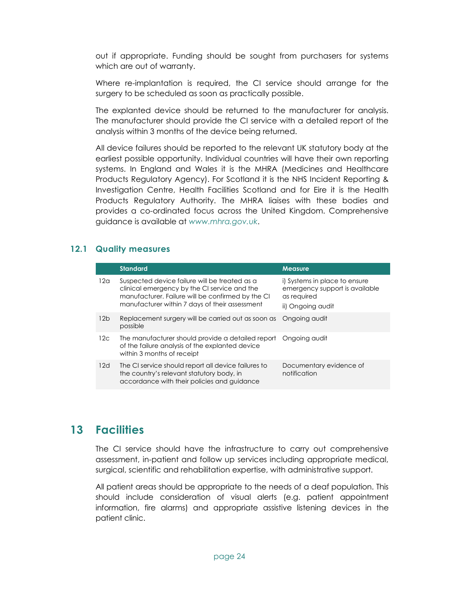out if appropriate. Funding should be sought from purchasers for systems which are out of warranty.

Where re-implantation is required, the CI service should arrange for the surgery to be scheduled as soon as practically possible.

The explanted device should be returned to the manufacturer for analysis. The manufacturer should provide the CI service with a detailed report of the analysis within 3 months of the device being returned.

All device failures should be reported to the relevant UK statutory body at the earliest possible opportunity. Individual countries will have their own reporting systems. In England and Wales it is the MHRA (Medicines and Healthcare Products Regulatory Agency). For Scotland it is the NHS Incident Reporting & Investigation Centre, Health Facilities Scotland and for Eire it is the Health Products Regulatory Authority. The MHRA liaises with these bodies and provides a co-ordinated focus across the United Kingdom. Comprehensive guidance is available at www.mhra.gov.uk.

### 12.1 Quality measures

|                 | <b>Standard</b>                                                                                                                                                                                      | <b>Measure</b>                                                                                      |
|-----------------|------------------------------------------------------------------------------------------------------------------------------------------------------------------------------------------------------|-----------------------------------------------------------------------------------------------------|
| 12 <sub>G</sub> | Suspected device failure will be treated as a<br>clinical emergency by the CI service and the<br>manufacturer. Failure will be confirmed by the CI<br>manufacturer within 7 days of their assessment | i) Systems in place to ensure<br>emergency support is available<br>as required<br>ii) Ongoing audit |
| 12 <sub>b</sub> | Replacement surgery will be carried out as soon as<br>possible                                                                                                                                       | Ongoing audit                                                                                       |
| 12 <sub>C</sub> | The manufacturer should provide a detailed report<br>of the failure analysis of the explanted device<br>within 3 months of receipt                                                                   | Ongoing audit                                                                                       |
| 12d             | The CI service should report all device failures to<br>the country's relevant statutory body, in<br>accordance with their policies and guidance                                                      | Documentary evidence of<br>notification                                                             |

### 13 Facilities

The CI service should have the infrastructure to carry out comprehensive assessment, in-patient and follow up services including appropriate medical, surgical, scientific and rehabilitation expertise, with administrative support.

All patient areas should be appropriate to the needs of a deaf population. This should include consideration of visual alerts (e.g. patient appointment information, fire alarms) and appropriate assistive listening devices in the patient clinic.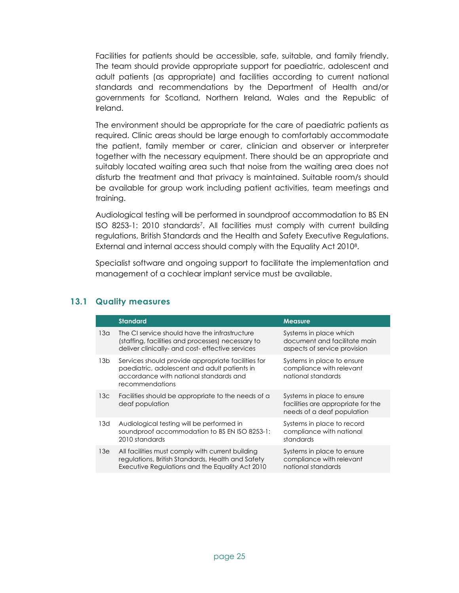Facilities for patients should be accessible, safe, suitable, and family friendly. The team should provide appropriate support for paediatric, adolescent and adult patients (as appropriate) and facilities according to current national standards and recommendations by the Department of Health and/or governments for Scotland, Northern Ireland, Wales and the Republic of Ireland.

The environment should be appropriate for the care of paediatric patients as required. Clinic areas should be large enough to comfortably accommodate the patient, family member or carer, clinician and observer or interpreter together with the necessary equipment. There should be an appropriate and suitably located waiting area such that noise from the waiting area does not disturb the treatment and that privacy is maintained. Suitable room/s should be available for group work including patient activities, team meetings and training.

Audiological testing will be performed in soundproof accommodation to BS EN ISO 8253-1: 2010 standards<sup>7</sup> . All facilities must comply with current building regulations, British Standards and the Health and Safety Executive Regulations. External and internal access should comply with the Equality Act 2010<sup>8</sup> .

Specialist software and ongoing support to facilitate the implementation and management of a cochlear implant service must be available.

|                 | <b>Standard</b>                                                                                                                                                 | <b>Measure</b>                                                                                 |
|-----------------|-----------------------------------------------------------------------------------------------------------------------------------------------------------------|------------------------------------------------------------------------------------------------|
| 13 <sub>q</sub> | The CI service should have the infrastructure<br>(staffing, facilities and processes) necessary to<br>deliver clinically- and cost-effective services           | Systems in place which<br>document and facilitate main<br>aspects of service provision         |
| 13 <sub>b</sub> | Services should provide appropriate facilities for<br>paediatric, adolescent and adult patients in<br>accordance with national standards and<br>recommendations | Systems in place to ensure<br>compliance with relevant<br>national standards                   |
| 13 <sub>c</sub> | Facilities should be appropriate to the needs of a<br>deaf population                                                                                           | Systems in place to ensure<br>facilities are appropriate for the<br>needs of a deaf population |
| 13d             | Audiological testing will be performed in<br>soundproof accommodation to BS EN ISO 8253-1:<br>2010 standards                                                    | Systems in place to record<br>compliance with national<br>standards                            |
| 13e             | All facilities must comply with current building<br>regulations, British Standards, Health and Safety<br>Executive Regulations and the Equality Act 2010        | Systems in place to ensure<br>compliance with relevant<br>national standards                   |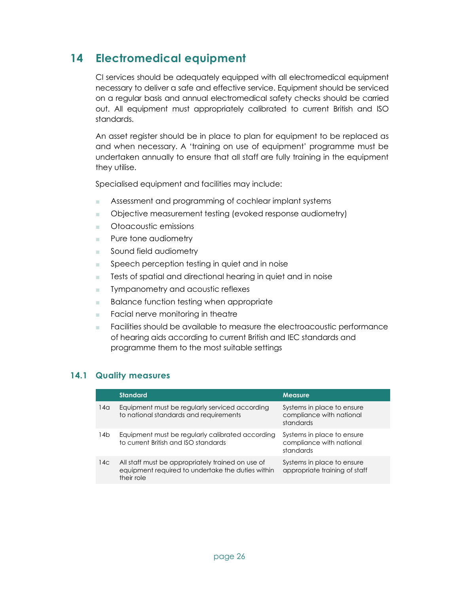### 14 Electromedical equipment

CI services should be adequately equipped with all electromedical equipment necessary to deliver a safe and effective service. Equipment should be serviced on a regular basis and annual electromedical safety checks should be carried out. All equipment must appropriately calibrated to current British and ISO standards.

An asset register should be in place to plan for equipment to be replaced as and when necessary. A 'training on use of equipment' programme must be undertaken annually to ensure that all staff are fully training in the equipment they utilise.

Specialised equipment and facilities may include:

- Assessment and programming of cochlear implant systems
- Objective measurement testing (evoked response audiometry)
- Otoacoustic emissions
- Pure tone audiometry
- Sound field audiometry
- Speech perception testing in quiet and in noise
- Tests of spatial and directional hearing in quiet and in noise
- Tympanometry and acoustic reflexes
- Balance function testing when appropriate
- Facial nerve monitoring in theatre
- Facilities should be available to measure the electroacoustic performance of hearing aids according to current British and IEC standards and programme them to the most suitable settings

|                 | <b>Standard</b>                                                                                                      | <b>Measure</b>                                                      |
|-----------------|----------------------------------------------------------------------------------------------------------------------|---------------------------------------------------------------------|
| 14a             | Equipment must be regularly serviced according<br>to national standards and requirements                             | Systems in place to ensure<br>compliance with national<br>standards |
| 14b             | Equipment must be regularly calibrated according<br>to current British and ISO standards                             | Systems in place to ensure<br>compliance with national<br>standards |
| 14 <sup>c</sup> | All staff must be appropriately trained on use of<br>equipment required to undertake the duties within<br>their role | Systems in place to ensure<br>appropriate training of staff         |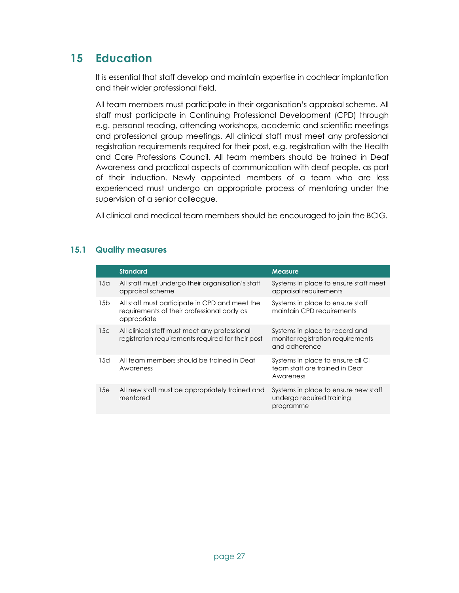## 15 Education

It is essential that staff develop and maintain expertise in cochlear implantation and their wider professional field.

All team members must participate in their organisation's appraisal scheme. All staff must participate in Continuing Professional Development (CPD) through e.g. personal reading, attending workshops, academic and scientific meetings and professional group meetings. All clinical staff must meet any professional registration requirements required for their post, e.g. registration with the Health and Care Professions Council. All team members should be trained in Deaf Awareness and practical aspects of communication with deaf people, as part of their induction. Newly appointed members of a team who are less experienced must undergo an appropriate process of mentoring under the supervision of a senior colleague.

All clinical and medical team members should be encouraged to join the BCIG.

|                 | <b>Standard</b>                                                                                             | <b>Measure</b>                                                                       |
|-----------------|-------------------------------------------------------------------------------------------------------------|--------------------------------------------------------------------------------------|
| 15a             | All staff must undergo their organisation's staff<br>appraisal scheme                                       | Systems in place to ensure staff meet<br>appraisal requirements                      |
| 15 <sub>b</sub> | All staff must participate in CPD and meet the<br>requirements of their professional body as<br>appropriate | Systems in place to ensure staff<br>maintain CPD requirements                        |
| 15c             | All clinical staff must meet any professional<br>registration requirements required for their post          | Systems in place to record and<br>monitor registration requirements<br>and adherence |
| 15d             | All team members should be trained in Deaf<br>Awareness                                                     | Systems in place to ensure all CI<br>team staff are trained in Deaf<br>Awareness     |
| 15e             | All new staff must be appropriately trained and<br>mentored                                                 | Systems in place to ensure new staff<br>undergo required training<br>programme       |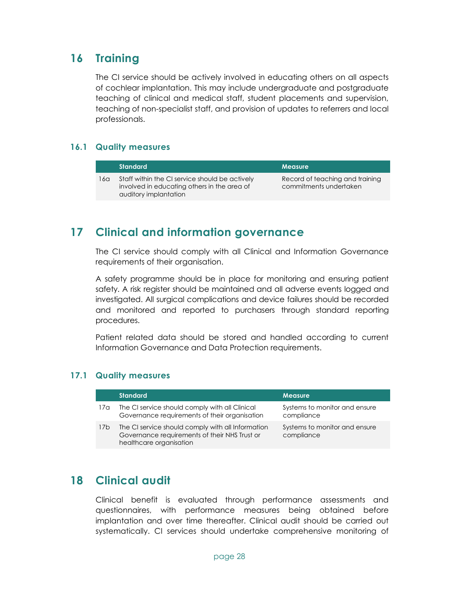### 16 Training

The CI service should be actively involved in educating others on all aspects of cochlear implantation. This may include undergraduate and postgraduate teaching of clinical and medical staff, student placements and supervision, teaching of non-specialist staff, and provision of updates to referrers and local professionals.

#### 16.1 Quality measures

|      | <b>Standard</b>                                                                                                        | <b>Measure</b>                                            |
|------|------------------------------------------------------------------------------------------------------------------------|-----------------------------------------------------------|
| 16α. | Staff within the CI service should be actively<br>involved in educating others in the area of<br>auditory implantation | Record of teaching and training<br>commitments undertaken |

### 17 Clinical and information governance

The CI service should comply with all Clinical and Information Governance requirements of their organisation.

A safety programme should be in place for monitoring and ensuring patient safety. A risk register should be maintained and all adverse events logged and investigated. All surgical complications and device failures should be recorded and monitored and reported to purchasers through standard reporting procedures.

Patient related data should be stored and handled according to current Information Governance and Data Protection requirements.

### 17.1 Quality measures

|                 | <b>Standard</b>                                                                                                               | <b>Measure</b>                              |
|-----------------|-------------------------------------------------------------------------------------------------------------------------------|---------------------------------------------|
| 17a             | The CI service should comply with all Clinical<br>Governance requirements of their organisation                               | Systems to monitor and ensure<br>compliance |
| 17 <sub>b</sub> | The CI service should comply with all Information<br>Governance requirements of their NHS Trust or<br>healthcare organisation | Systems to monitor and ensure<br>compliance |

### 18 Clinical audit

Clinical benefit is evaluated through performance assessments and questionnaires, with performance measures being obtained before implantation and over time thereafter. Clinical audit should be carried out systematically. CI services should undertake comprehensive monitoring of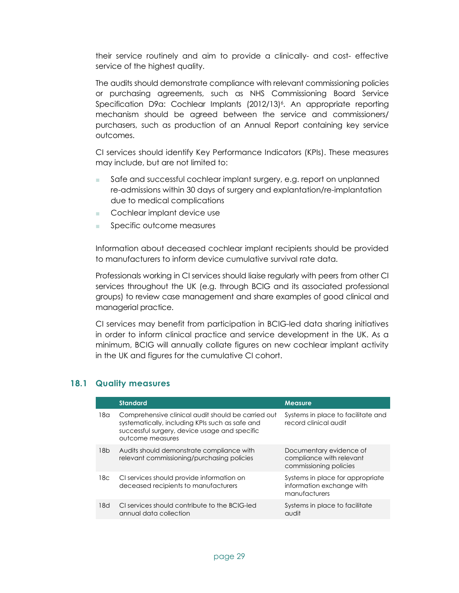their service routinely and aim to provide a clinically- and cost- effective service of the highest quality.

The audits should demonstrate compliance with relevant commissioning policies or purchasing agreements, such as NHS Commissioning Board Service Specification D9a: Cochlear Implants (2012/13)<sup>6</sup>. An appropriate reporting mechanism should be agreed between the service and commissioners/ purchasers, such as production of an Annual Report containing key service outcomes.

CI services should identify Key Performance Indicators (KPIs). These measures may include, but are not limited to:

- Safe and successful cochlear implant surgery, e.g. report on unplanned re-admissions within 30 days of surgery and explantation/re-implantation due to medical complications
- Cochlear implant device use
- Specific outcome measures

Information about deceased cochlear implant recipients should be provided to manufacturers to inform device cumulative survival rate data.

Professionals working in CI services should liaise regularly with peers from other CI services throughout the UK (e.g. through BCIG and its associated professional groups) to review case management and share examples of good clinical and managerial practice.

CI services may benefit from participation in BCIG-led data sharing initiatives in order to inform clinical practice and service development in the UK. As a minimum, BCIG will annually collate figures on new cochlear implant activity in the UK and figures for the cumulative CI cohort.

|                 | <b>Standard</b>                                                                                                                                                            | <b>Measure</b>                                                                 |
|-----------------|----------------------------------------------------------------------------------------------------------------------------------------------------------------------------|--------------------------------------------------------------------------------|
| 18a             | Comprehensive clinical audit should be carried out<br>systematically, including KPIs such as safe and<br>successful surgery, device usage and specific<br>outcome measures | Systems in place to facilitate and<br>record clinical audit                    |
| 18 <sub>b</sub> | Audits should demonstrate compliance with<br>relevant commissioning/purchasing policies                                                                                    | Documentary evidence of<br>compliance with relevant<br>commissioning policies  |
| 18c             | CI services should provide information on<br>deceased recipients to manufacturers                                                                                          | Systems in place for appropriate<br>information exchange with<br>manufacturers |
| 18d             | CI services should contribute to the BCIG-led<br>annual data collection                                                                                                    | Systems in place to facilitate<br>audit                                        |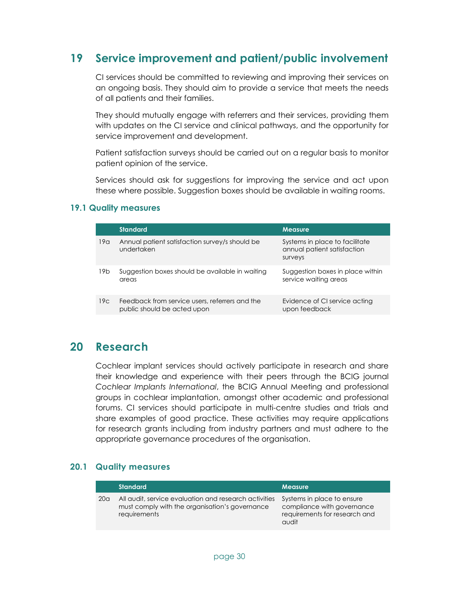### 19 Service improvement and patient/public involvement

CI services should be committed to reviewing and improving their services on an ongoing basis. They should aim to provide a service that meets the needs of all patients and their families.

They should mutually engage with referrers and their services, providing them with updates on the CI service and clinical pathways, and the opportunity for service improvement and development.

Patient satisfaction surveys should be carried out on a regular basis to monitor patient opinion of the service.

Services should ask for suggestions for improving the service and act upon these where possible. Suggestion boxes should be available in waiting rooms.

#### 19.1 Quality measures

|                 | <b>Standard</b>                                                               | <b>Measure</b>                                                           |
|-----------------|-------------------------------------------------------------------------------|--------------------------------------------------------------------------|
| 19a             | Annual patient satisfaction survey/s should be<br>undertaken                  | Systems in place to facilitate<br>annual patient satisfaction<br>surveys |
| 19 <sub>b</sub> | Suggestion boxes should be available in waiting<br>areas                      | Suggestion boxes in place within<br>service waiting areas                |
| 19c             | Feedback from service users, referrers and the<br>public should be acted upon | Evidence of CI service acting<br>upon feedback                           |

### 20 Research

Cochlear implant services should actively participate in research and share their knowledge and experience with their peers through the BCIG journal Cochlear Implants International, the BCIG Annual Meeting and professional groups in cochlear implantation, amongst other academic and professional forums. CI services should participate in multi-centre studies and trials and share examples of good practice. These activities may require applications for research grants including from industry partners and must adhere to the appropriate governance procedures of the organisation.

|                 | Standard                                                                                                                | <b>Measure</b>                                                                                     |
|-----------------|-------------------------------------------------------------------------------------------------------------------------|----------------------------------------------------------------------------------------------------|
| 20 <sub>a</sub> | All audit, service evaluation and research activities<br>must comply with the organisation's governance<br>requirements | Systems in place to ensure<br>compliance with governance<br>requirements for research and<br>audit |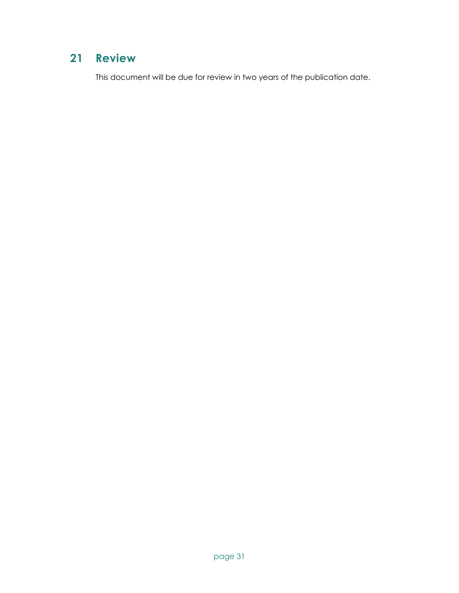# 21 Review

This document will be due for review in two years of the publication date.